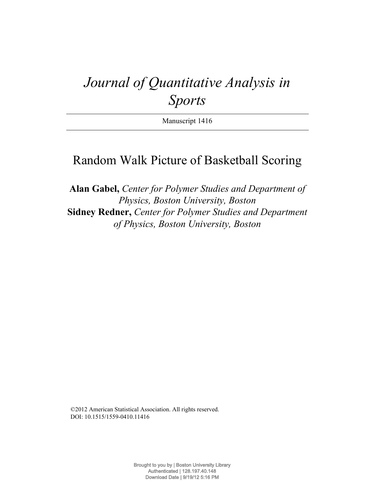# *Journal of Quantitative Analysis in Sports*

Manuscript 1416

# Random Walk Picture of Basketball Scoring

**Alan Gabel,** *Center for Polymer Studies and Department of Physics, Boston University, Boston* **Sidney Redner,** *Center for Polymer Studies and Department of Physics, Boston University, Boston*

©2012 American Statistical Association. All rights reserved. DOI: 10.1515/1559-0410.11416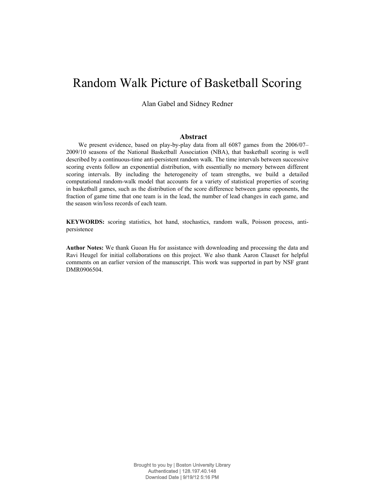# Random Walk Picture of Basketball Scoring

Alan Gabel and Sidney Redner

#### **Abstract**

We present evidence, based on play-by-play data from all 6087 games from the 2006/07– 2009/10 seasons of the National Basketball Association (NBA), that basketball scoring is well described by a continuous-time anti-persistent random walk. The time intervals between successive scoring events follow an exponential distribution, with essentially no memory between different scoring intervals. By including the heterogeneity of team strengths, we build a detailed computational random-walk model that accounts for a variety of statistical properties of scoring in basketball games, such as the distribution of the score difference between game opponents, the fraction of game time that one team is in the lead, the number of lead changes in each game, and the season win/loss records of each team.

**KEYWORDS:** scoring statistics, hot hand, stochastics, random walk, Poisson process, antipersistence

**Author Notes:** We thank Guoan Hu for assistance with downloading and processing the data and Ravi Heugel for initial collaborations on this project. We also thank Aaron Clauset for helpful comments on an earlier version of the manuscript. This work was supported in part by NSF grant DMR0906504.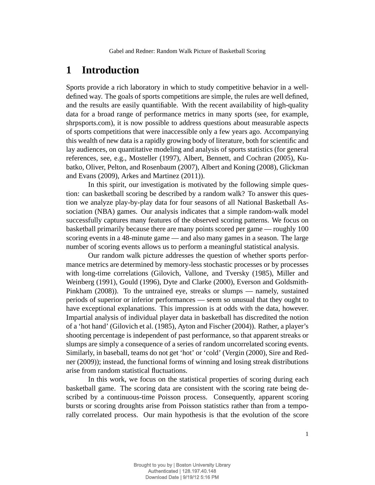#### **1 Introduction**

Sports provide a rich laboratory in which to study competitive behavior in a welldefined way. The goals of sports competitions are simple, the rules are well defined, and the results are easily quantifiable. With the recent availability of high-quality data for a broad range of performance metrics in many sports (see, for example, shrpsports.com), it is now possible to address questions about measurable aspects of sports competitions that were inaccessible only a few years ago. Accompanying this wealth of new data is a rapidly growing body of literature, both for scientific and lay audiences, on quantitative modeling and analysis of sports statistics (for general references, see, e.g., Mosteller (1997), Albert, Bennett, and Cochran (2005), Kubatko, Oliver, Pelton, and Rosenbaum (2007), Albert and Koning (2008), Glickman and Evans (2009), Arkes and Martinez (2011)).

In this spirit, our investigation is motivated by the following simple question: can basketball scoring be described by a random walk? To answer this question we analyze play-by-play data for four seasons of all National Basketball Association (NBA) games. Our analysis indicates that a simple random-walk model successfully captures many features of the observed scoring patterns. We focus on basketball primarily because there are many points scored per game — roughly 100 scoring events in a 48-minute game — and also many games in a season. The large number of scoring events allows us to perform a meaningful statistical analysis.

Our random walk picture addresses the question of whether sports performance metrics are determined by memory-less stochastic processes or by processes with long-time correlations (Gilovich, Vallone, and Tversky (1985), Miller and Weinberg (1991), Gould (1996), Dyte and Clarke (2000), Everson and Goldsmith-Pinkham (2008)). To the untrained eye, streaks or slumps — namely, sustained periods of superior or inferior performances — seem so unusual that they ought to have exceptional explanations. This impression is at odds with the data, however. Impartial analysis of individual player data in basketball has discredited the notion of a 'hot hand' (Gilovich et al. (1985), Ayton and Fischer (2004)). Rather, a player's shooting percentage is independent of past performance, so that apparent streaks or slumps are simply a consequence of a series of random uncorrelated scoring events. Similarly, in baseball, teams do not get 'hot' or 'cold' (Vergin (2000), Sire and Redner (2009)); instead, the functional forms of winning and losing streak distributions arise from random statistical fluctuations.

In this work, we focus on the statistical properties of scoring during each basketball game. The scoring data are consistent with the scoring rate being described by a continuous-time Poisson process. Consequently, apparent scoring bursts or scoring droughts arise from Poisson statistics rather than from a temporally correlated process. Our main hypothesis is that the evolution of the score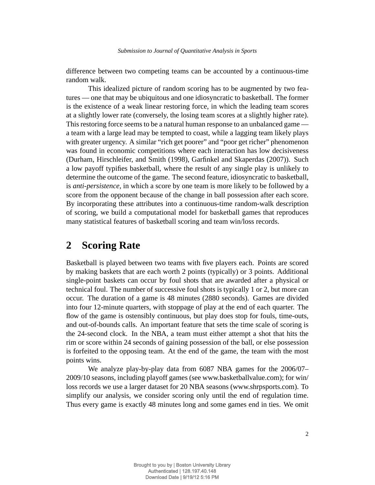difference between two competing teams can be accounted by a continuous-time random walk.

This idealized picture of random scoring has to be augmented by two features — one that may be ubiquitous and one idiosyncratic to basketball. The former is the existence of a weak linear restoring force, in which the leading team scores at a slightly lower rate (conversely, the losing team scores at a slightly higher rate). This restoring force seems to be a natural human response to an unbalanced game a team with a large lead may be tempted to coast, while a lagging team likely plays with greater urgency. A similar "rich get poorer" and "poor get richer" phenomenon was found in economic competitions where each interaction has low decisiveness (Durham, Hirschleifer, and Smith (1998), Garfinkel and Skaperdas (2007)). Such a low payoff typifies basketball, where the result of any single play is unlikely to determine the outcome of the game. The second feature, idiosyncratic to basketball, is *anti-persistence*, in which a score by one team is more likely to be followed by a score from the opponent because of the change in ball possession after each score. By incorporating these attributes into a continuous-time random-walk description of scoring, we build a computational model for basketball games that reproduces many statistical features of basketball scoring and team win/loss records.

#### **2 Scoring Rate**

Basketball is played between two teams with five players each. Points are scored by making baskets that are each worth 2 points (typically) or 3 points. Additional single-point baskets can occur by foul shots that are awarded after a physical or technical foul. The number of successive foul shots is typically 1 or 2, but more can occur. The duration of a game is 48 minutes (2880 seconds). Games are divided into four 12-minute quarters, with stoppage of play at the end of each quarter. The flow of the game is ostensibly continuous, but play does stop for fouls, time-outs, and out-of-bounds calls. An important feature that sets the time scale of scoring is the 24-second clock. In the NBA, a team must either attempt a shot that hits the rim or score within 24 seconds of gaining possession of the ball, or else possession is forfeited to the opposing team. At the end of the game, the team with the most points wins.

We analyze play-by-play data from 6087 NBA games for the 2006/07– 2009/10 seasons, including playoff games (see www.basketballvalue.com); for win/ loss records we use a larger dataset for 20 NBA seasons (www.shrpsports.com). To simplify our analysis, we consider scoring only until the end of regulation time. Thus every game is exactly 48 minutes long and some games end in ties. We omit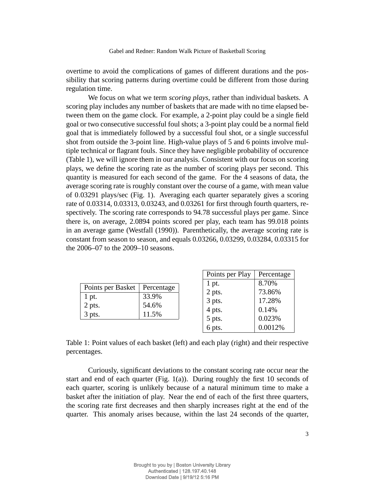overtime to avoid the complications of games of different durations and the possibility that scoring patterns during overtime could be different from those during regulation time.

We focus on what we term *scoring plays*, rather than individual baskets. A scoring play includes any number of baskets that are made with no time elapsed between them on the game clock. For example, a 2-point play could be a single field goal or two consecutive successful foul shots; a 3-point play could be a normal field goal that is immediately followed by a successful foul shot, or a single successful shot from outside the 3-point line. High-value plays of 5 and 6 points involve multiple technical or flagrant fouls. Since they have negligible probability of occurence (Table 1), we will ignore them in our analysis. Consistent with our focus on scoring plays, we define the scoring rate as the number of scoring plays per second. This quantity is measured for each second of the game. For the 4 seasons of data, the average scoring rate is roughly constant over the course of a game, with mean value of 0.03291 plays/sec (Fig. 1). Averaging each quarter separately gives a scoring rate of 0.03314, 0.03313, 0.03243, and 0.03261 for first through fourth quarters, respectively. The scoring rate corresponds to 94.78 successful plays per game. Since there is, on average, 2.0894 points scored per play, each team has 99.018 points in an average game (Westfall (1990)). Parenthetically, the average scoring rate is constant from season to season, and equals 0.03266, 0.03299, 0.03284, 0.03315 for the 2006–07 to the 2009–10 seasons.

|                   |                                       |  | Points per Play | Percentage |
|-------------------|---------------------------------------|--|-----------------|------------|
| Points per Basket | Percentage<br>33.9%<br>54.6%<br>11.5% |  | 1 pt.           | 8.70%      |
| 1 pt.             |                                       |  | 2 pts.          | 73.86%     |
| $2$ pts.          |                                       |  | 3 pts.          | 17.28%     |
| 3 pts.            |                                       |  | 4 pts.          | 0.14%      |
|                   |                                       |  | 5 pts.          | 0.023%     |
|                   |                                       |  | 6 pts.          | 0.0012%    |

Table 1: Point values of each basket (left) and each play (right) and their respective percentages.

Curiously, significant deviations to the constant scoring rate occur near the start and end of each quarter (Fig. 1(a)). During roughly the first 10 seconds of each quarter, scoring is unlikely because of a natural minimum time to make a basket after the initiation of play. Near the end of each of the first three quarters, the scoring rate first decreases and then sharply increases right at the end of the quarter. This anomaly arises because, within the last 24 seconds of the quarter,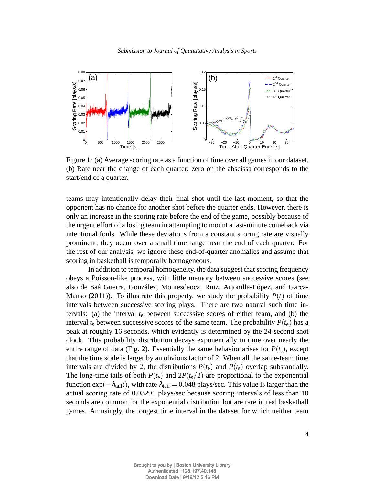

Figure 1: (a) Average scoring rate as a function of time over all games in our dataset. (b) Rate near the change of each quarter; zero on the abscissa corresponds to the start/end of a quarter.

teams may intentionally delay their final shot until the last moment, so that the opponent has no chance for another shot before the quarter ends. However, there is only an increase in the scoring rate before the end of the game, possibly because of the urgent effort of a losing team in attempting to mount a last-minute comeback via intentional fouls. While these deviations from a constant scoring rate are visually prominent, they occur over a small time range near the end of each quarter. For the rest of our analysis, we ignore these end-of-quarter anomalies and assume that scoring in basketball is temporally homogeneous.

In addition to temporal homogeneity, the data suggest that scoring frequency obeys a Poisson-like process, with little memory between successive scores (see also de Saá Guerra, González, Montesdeoca, Ruiz, Arjonilla-López, and Garca-Manso (2011)). To illustrate this property, we study the probability  $P(t)$  of time intervals between successive scoring plays. There are two natural such time intervals: (a) the interval  $t<sub>e</sub>$  between successive scores of either team, and (b) the interval  $t_s$  between successive scores of the same team. The probability  $P(t_e)$  has a peak at roughly 16 seconds, which evidently is determined by the 24-second shot clock. This probability distribution decays exponentially in time over nearly the entire range of data (Fig. 2). Essentially the same behavior arises for  $P(t_s)$ , except that the time scale is larger by an obvious factor of 2. When all the same-team time intervals are divided by 2, the distributions  $P(t_e)$  and  $P(t_s)$  overlap substantially. The long-time tails of both  $P(t_e)$  and  $2P(t_s/2)$  are proportional to the exponential function exp( $-\lambda_{tail}$ *t*), with rate  $\lambda_{tail} = 0.048$  plays/sec. This value is larger than the actual scoring rate of 0.03291 plays/sec because scoring intervals of less than 10 seconds are common for the exponential distribution but are rare in real basketball games. Amusingly, the longest time interval in the dataset for which neither team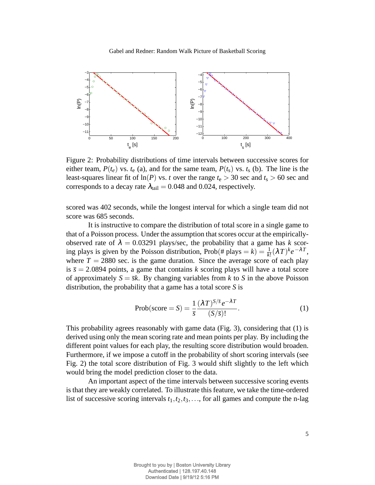

Figure 2: Probability distributions of time intervals between successive scores for either team,  $P(t_e)$  vs.  $t_e$  (a), and for the same team,  $P(t_s)$  vs.  $t_s$  (b). The line is the least-squares linear fit of  $ln(P)$  vs. *t* over the range  $t_e > 30$  sec and  $t_s > 60$  sec and corresponds to a decay rate  $\lambda_{tail} = 0.048$  and 0.024, respectively.

scored was 402 seconds, while the longest interval for which a single team did not score was 685 seconds.

It is instructive to compare the distribution of total score in a single game to that of a Poisson process. Under the assumption that scores occur at the empiricallyobserved rate of  $\lambda = 0.03291$  plays/sec, the probability that a game has *k* scoring plays is given by the Poisson distribution,  $Prob(\text{\# plays} = k) = \frac{1}{k!} (\lambda T)^k e^{-\lambda T}$ , where  $T = 2880$  sec. is the game duration. Since the average score of each play is  $\bar{s} = 2.0894$  points, a game that contains *k* scoring plays will have a total score of approximately  $S = \bar{s}k$ . By changing variables from k to S in the above Poisson distribution, the probability that a game has a total score *S* is

$$
\text{Prob}(\text{score} = S) = \frac{1}{\overline{s}} \frac{(\lambda T)^{S/\overline{s}} e^{-\lambda T}}{(S/\overline{s})!}.
$$
 (1)

This probability agrees reasonably with game data (Fig. 3), considering that (1) is derived using only the mean scoring rate and mean points per play. By including the different point values for each play, the resulting score distribution would broaden. Furthermore, if we impose a cutoff in the probability of short scoring intervals (see Fig. 2) the total score distribution of Fig. 3 would shift slightly to the left which would bring the model prediction closer to the data.

An important aspect of the time intervals between successive scoring events is that they are weakly correlated. To illustrate this feature, we take the time-ordered list of successive scoring intervals  $t_1, t_2, t_3, \ldots$ , for all games and compute the n-lag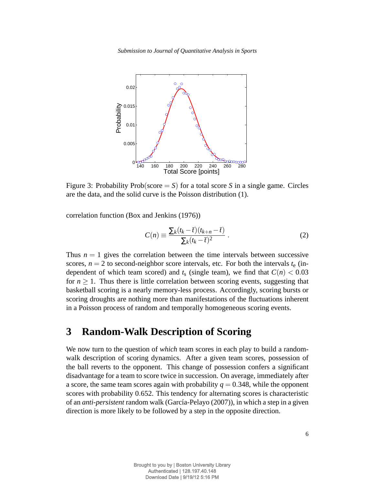*Submission to Journal of Quantitative Analysis in Sports*



Figure 3: Probability Prob(score  $= S$ ) for a total score *S* in a single game. Circles are the data, and the solid curve is the Poisson distribution (1).

correlation function (Box and Jenkins (1976))

$$
C(n) \equiv \frac{\sum_{k} (t_k - \overline{t})(t_{k+n} - \overline{t})}{\sum_{k} (t_k - \overline{t})^2} \,. \tag{2}
$$

Thus  $n = 1$  gives the correlation between the time intervals between successive scores,  $n = 2$  to second-neighbor score intervals, etc. For both the intervals  $t_e$  (independent of which team scored) and  $t_s$  (single team), we find that  $C(n) < 0.03$ for  $n \geq 1$ . Thus there is little correlation between scoring events, suggesting that basketball scoring is a nearly memory-less process. Accordingly, scoring bursts or scoring droughts are nothing more than manifestations of the fluctuations inherent in a Poisson process of random and temporally homogeneous scoring events.

### **3 Random-Walk Description of Scoring**

We now turn to the question of *which* team scores in each play to build a randomwalk description of scoring dynamics. After a given team scores, possession of the ball reverts to the opponent. This change of possession confers a significant disadvantage for a team to score twice in succession. On average, immediately after a score, the same team scores again with probability  $q = 0.348$ , while the opponent scores with probability 0.652. This tendency for alternating scores is characteristic of an *anti-persistent* random walk (García-Pelayo (2007)), in which a step in a given direction is more likely to be followed by a step in the opposite direction.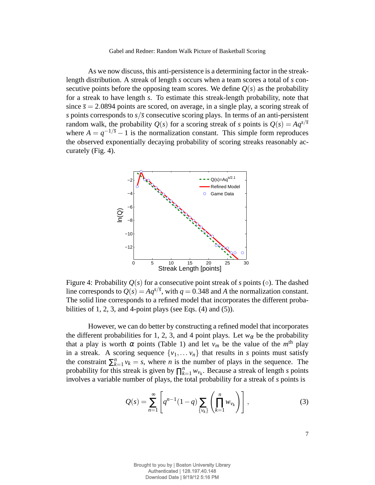As we now discuss, this anti-persistence is a determining factor in the streaklength distribution. A streak of length *s* occurs when a team scores a total of *s* consecutive points before the opposing team scores. We define  $Q(s)$  as the probability for a streak to have length *s*. To estimate this streak-length probability, note that since  $\bar{s} = 2.0894$  points are scored, on average, in a single play, a scoring streak of *s* points corresponds to  $s/\overline{s}$  consecutive scoring plays. In terms of an anti-persistent random walk, the probability  $Q(s)$  for a scoring streak of *s* points is  $Q(s) = Aq^{s/\overline{s}}$ where  $A = q^{-1/\bar{s}} - 1$  is the normalization constant. This simple form reproduces the observed exponentially decaying probability of scoring streaks reasonably accurately (Fig. 4).



Figure 4: Probability  $Q(s)$  for a consecutive point streak of *s* points ( $\circ$ ). The dashed line corresponds to  $Q(s) = Aq^{s/\overline{s}}$ , with  $q = 0.348$  and A the normalization constant. The solid line corresponds to a refined model that incorporates the different probabilities of 1, 2, 3, and 4-point plays (see Eqs.  $(4)$  and  $(5)$ ).

However, we can do better by constructing a refined model that incorporates the different probabilities for 1, 2, 3, and 4 point plays. Let  $w_\alpha$  be the probability that a play is worth  $\alpha$  points (Table 1) and let  $v_m$  be the value of the  $m<sup>th</sup>$  play in a streak. A scoring sequence  $\{v_1, \ldots, v_n\}$  that results in *s* points must satisfy the constraint  $\sum_{k=1}^{n}$  $x_{k=1}^{n}$   $v_k = s$ , where *n* is the number of plays in the sequence. The probability for this streak is given by  $\prod_{k=1}^{n} w_{v_k}$ . Because a streak of length *s* points involves a variable number of plays, the total probability for a streak of *s* points is

$$
Q(s) = \sum_{n=1}^{\infty} \left[ q^{n-1} (1-q) \sum_{\{v_k\}} \left( \prod_{k=1}^n w_{v_k} \right) \right],
$$
 (3)

7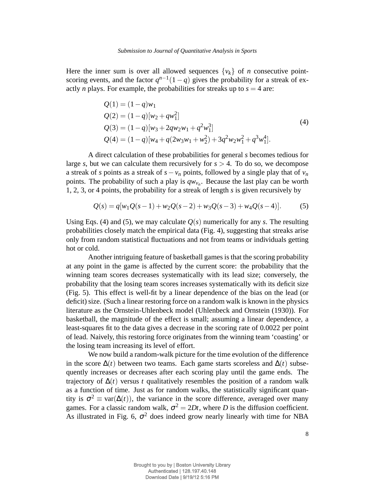Here the inner sum is over all allowed sequences  $\{v_k\}$  of *n* consecutive pointscoring events, and the factor  $q^{n-1}(1-q)$  gives the probability for a streak of exactly *n* plays. For example, the probabilities for streaks up to  $s = 4$  are:

$$
Q(1) = (1 - q)w_1
$$
  
\n
$$
Q(2) = (1 - q)[w_2 + qw_1^2]
$$
  
\n
$$
Q(3) = (1 - q)[w_3 + 2qw_2w_1 + q^2w_1^3]
$$
  
\n
$$
Q(4) = (1 - q)[w_4 + q(2w_3w_1 + w_2^2) + 3q^2w_2w_1^2 + q^3w_1^4].
$$
\n(4)

A direct calculation of these probabilities for general *s* becomes tedious for large *s*, but we can calculate them recursively for  $s > 4$ . To do so, we decompose a streak of *s* points as a streak of  $s - v_n$  points, followed by a single play that of  $v_n$ points. The probability of such a play is  $q_{w_{v_n}}$ . Because the last play can be worth 1, 2, 3, or 4 points, the probability for a streak of length *s* is given recursively by

$$
Q(s) = q[w_1Q(s-1) + w_2Q(s-2) + w_3Q(s-3) + w_4Q(s-4)].
$$
 (5)

Using Eqs. (4) and (5), we may calculate  $Q(s)$  numerically for any *s*. The resulting probabilities closely match the empirical data (Fig. 4), suggesting that streaks arise only from random statistical fluctuations and not from teams or individuals getting hot or cold.

Another intriguing feature of basketball games is that the scoring probability at any point in the game is affected by the current score: the probability that the winning team scores decreases systematically with its lead size; conversely, the probability that the losing team scores increases systematically with its deficit size (Fig. 5). This effect is well-fit by a linear dependence of the bias on the lead (or deficit) size. (Such a linear restoring force on a random walk is known in the physics literature as the Ornstein-Uhlenbeck model (Uhlenbeck and Ornstein (1930)). For basketball, the magnitude of the effect is small; assuming a linear dependence, a least-squares fit to the data gives a decrease in the scoring rate of 0.0022 per point of lead. Naively, this restoring force originates from the winning team 'coasting' or the losing team increasing its level of effort.

We now build a random-walk picture for the time evolution of the difference in the score  $\Delta(t)$  between two teams. Each game starts scoreless and  $\Delta(t)$  subsequently increases or decreases after each scoring play until the game ends. The trajectory of  $\Delta(t)$  versus *t* qualitatively resembles the position of a random walk as a function of time. Just as for random walks, the statistically significant quantity is  $\sigma^2 \equiv \text{var}(\Delta(t))$ , the variance in the score difference, averaged over many games. For a classic random walk,  $\sigma^2 = 2Dt$ , where *D* is the diffusion coefficient. As illustrated in Fig. 6,  $\sigma^2$  does indeed grow nearly linearly with time for NBA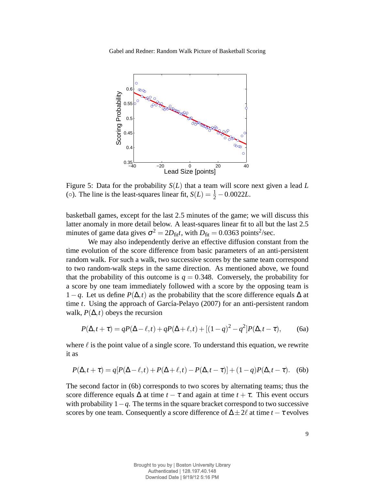

Figure 5: Data for the probability *S*(*L*) that a team will score next given a lead *L* ( $\circ$ ). The line is the least-squares linear fit, *S*(*L*) =  $\frac{1}{2} - 0.0022L$ .

basketball games, except for the last 2.5 minutes of the game; we will discuss this latter anomaly in more detail below. A least-squares linear fit to all but the last 2.5 minutes of game data gives  $\sigma^2 = 2D_{\text{fit}}t$ , with  $D_{\text{fit}} = 0.0363$  points<sup>2</sup>/sec.

We may also independently derive an effective diffusion constant from the time evolution of the score difference from basic parameters of an anti-persistent random walk. For such a walk, two successive scores by the same team correspond to two random-walk steps in the same direction. As mentioned above, we found that the probability of this outcome is  $q = 0.348$ . Conversely, the probability for a score by one team immediately followed with a score by the opposing team is 1−*q*. Let us define *P*(∆,*t*) as the probability that the score difference equals ∆ at time *t*. Using the approach of García-Pelayo (2007) for an anti-persistent random walk,  $P(\Delta, t)$  obeys the recursion

$$
P(\Delta, t + \tau) = qP(\Delta - \ell, t) + qP(\Delta + \ell, t) + [(1 - q)^2 - q^2]P(\Delta, t - \tau),
$$
 (6a)

where  $\ell$  is the point value of a single score. To understand this equation, we rewrite it as

$$
P(\Delta, t + \tau) = q[P(\Delta - \ell, t) + P(\Delta + \ell, t) - P(\Delta, t - \tau)] + (1 - q)P(\Delta, t - \tau). \tag{6b}
$$

The second factor in (6b) corresponds to two scores by alternating teams; thus the score difference equals  $\Delta$  at time  $t - \tau$  and again at time  $t + \tau$ . This event occurs with probability  $1-q$ . The terms in the square bracket correspond to two successive scores by one team. Consequently a score difference of  $\Delta \pm 2\ell$  at time *t* −  $\tau$  evolves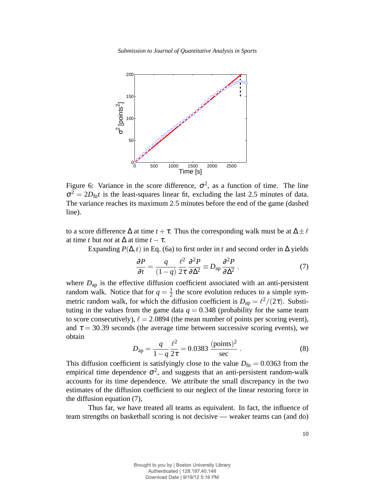

Figure 6: Variance in the score difference,  $\sigma^2$ , as a function of time. The line  $\sigma^2 = 2D_{\text{fit}}t$  is the least-squares linear fit, excluding the last 2.5 minutes of data. The variance reaches its maximum 2.5 minutes before the end of the game (dashed line).

to a score difference  $\Delta$  at time  $t + \tau$ . Thus the corresponding walk must be at  $\Delta \pm \ell$ at time *t* but *not* at  $\Delta$  at time  $t - \tau$ .

Expanding  $P(\Delta, t)$  in Eq. (6a) to first order in *t* and second order in  $\Delta$  yields

$$
\frac{\partial P}{\partial t} = \frac{q}{(1-q)} \frac{\ell^2}{2\tau} \frac{\partial^2 P}{\partial \Delta^2} \equiv D_{\text{ap}} \frac{\partial^2 P}{\partial \Delta^2} \,. \tag{7}
$$

where  $D_{ap}$  is the effective diffusion coefficient associated with an anti-persistent random walk. Notice that for  $q = \frac{1}{2}$  $\frac{1}{2}$  the score evolution reduces to a simple symmetric random walk, for which the diffusion coefficient is  $D_{ap} = \ell^2/(2\tau)$ . Substituting in the values from the game data  $q = 0.348$  (probability for the same team to score consecutively),  $\ell = 2.0894$  (the mean number of points per scoring event), and  $\tau = 30.39$  seconds (the average time between successive scoring events), we obtain

$$
D_{\rm ap} = \frac{q}{1-q} \frac{\ell^2}{2\tau} = 0.0383 \frac{\text{(points)}^2}{\text{sec}} \,. \tag{8}
$$

This diffusion coefficient is satisfyingly close to the value  $D_{\text{fit}} = 0.0363$  from the empirical time dependence  $\sigma^2$ , and suggests that an anti-persistent random-walk accounts for its time dependence. We attribute the small discrepancy in the two estimates of the diffusion coefficient to our neglect of the linear restoring force in the diffusion equation (7),

Thus far, we have treated all teams as equivalent. In fact, the influence of team strengths on basketball scoring is not decisive — weaker teams can (and do)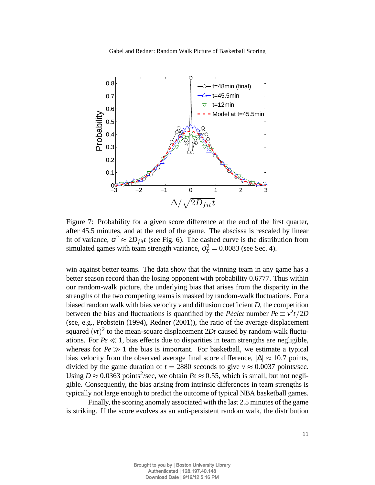

Figure 7: Probability for a given score difference at the end of the first quarter, after 45.5 minutes, and at the end of the game. The abscissa is rescaled by linear fit of variance,  $\sigma^2 \approx 2D_{fit}t$  (see Fig. 6). The dashed curve is the distribution from simulated games with team strength variance,  $\sigma_X^2 = 0.0083$  (see Sec. 4).

win against better teams. The data show that the winning team in any game has a better season record than the losing opponent with probability 0.6777. Thus within our random-walk picture, the underlying bias that arises from the disparity in the strengths of the two competing teams is masked by random-walk fluctuations. For a biased random walk with bias velocity *v* and diffusion coefficient *D*, the competition between the bias and fluctuations is quantified by the *Péclet* number  $Pe \equiv v^2 t / 2D$ (see, e.g., Probstein (1994), Redner (2001)), the ratio of the average displacement squared  $(vt)^2$  to the mean-square displacement 2*Dt* caused by random-walk fluctuations. For  $Pe \ll 1$ , bias effects due to disparities in team strengths are negligible, whereas for  $Pe \gg 1$  the bias is important. For basketball, we estimate a typical bias velocity from the observed average final score difference,  $|\Delta| \approx 10.7$  points, divided by the game duration of  $t = 2880$  seconds to give  $v \approx 0.0037$  points/sec. Using  $D \approx 0.0363$  points<sup>2</sup>/sec, we obtain  $Pe \approx 0.55$ , which is small, but not negligible. Consequently, the bias arising from intrinsic differences in team strengths is typically not large enough to predict the outcome of typical NBA basketball games.

Finally, the scoring anomaly associated with the last 2.5 minutes of the game is striking. If the score evolves as an anti-persistent random walk, the distribution

11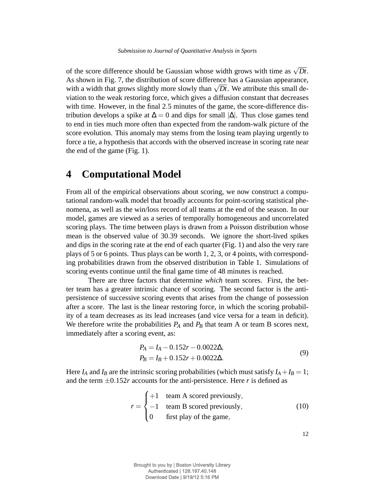of the score difference should be Gaussian whose width grows with time as  $\sqrt{Dt}$ . As shown in Fig. 7, the distribution of score difference has a Gaussian appearance, with a width that grows slightly more slowly than  $\sqrt{Dt}$ . We attribute this small deviation to the weak restoring force, which gives a diffusion constant that decreases with time. However, in the final 2.5 minutes of the game, the score-difference distribution develops a spike at  $\Delta = 0$  and dips for small  $|\Delta|$ . Thus close games tend to end in ties much more often than expected from the random-walk picture of the score evolution. This anomaly may stems from the losing team playing urgently to force a tie, a hypothesis that accords with the observed increase in scoring rate near the end of the game (Fig. 1).

#### **4 Computational Model**

From all of the empirical observations about scoring, we now construct a computational random-walk model that broadly accounts for point-scoring statistical phenomena, as well as the win/loss record of all teams at the end of the season. In our model, games are viewed as a series of temporally homogeneous and uncorrelated scoring plays. The time between plays is drawn from a Poisson distribution whose mean is the observed value of 30.39 seconds. We ignore the short-lived spikes and dips in the scoring rate at the end of each quarter (Fig. 1) and also the very rare plays of 5 or 6 points. Thus plays can be worth 1, 2, 3, or 4 points, with corresponding probabilities drawn from the observed distribution in Table 1. Simulations of scoring events continue until the final game time of 48 minutes is reached.

There are three factors that determine *which* team scores. First, the better team has a greater intrinsic chance of scoring. The second factor is the antipersistence of successive scoring events that arises from the change of possession after a score. The last is the linear restoring force, in which the scoring probability of a team decreases as its lead increases (and vice versa for a team in deficit). We therefore write the probabilities  $P_A$  and  $P_B$  that team A or team B scores next, immediately after a scoring event, as:

$$
P_A = I_A - 0.152r - 0.0022\Delta,
$$
  
\n
$$
P_B = I_B + 0.152r + 0.0022\Delta.
$$
\n(9)

Here  $I_A$  and  $I_B$  are the intrinsic scoring probabilities (which must satisfy  $I_A + I_B = 1$ ; and the term  $\pm 0.152r$  accounts for the anti-persistence. Here *r* is defined as

$$
r = \begin{cases} +1 & \text{team A scored previously,} \\ -1 & \text{team B scored previously,} \\ 0 & \text{first play of the game,} \end{cases}
$$
 (10)

12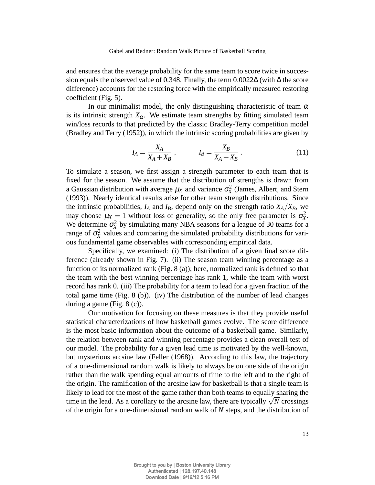and ensures that the average probability for the same team to score twice in succession equals the observed value of 0.348. Finally, the term  $0.0022\Delta$  (with  $\Delta$  the score difference) accounts for the restoring force with the empirically measured restoring coefficient (Fig. 5).

In our minimalist model, the only distinguishing characteristic of team  $\alpha$ is its intrinsic strength  $X_{\alpha}$ . We estimate team strengths by fitting simulated team win/loss records to that predicted by the classic Bradley-Terry competition model (Bradley and Terry (1952)), in which the intrinsic scoring probabilities are given by

$$
I_A = \frac{X_A}{X_A + X_B} , \qquad I_B = \frac{X_B}{X_A + X_B} . \tag{11}
$$

To simulate a season, we first assign a strength parameter to each team that is fixed for the season. We assume that the distribution of strengths is drawn from a Gaussian distribution with average  $\mu_X$  and variance  $\sigma_X^2$  (James, Albert, and Stern (1993)). Nearly identical results arise for other team strength distributions. Since the intrinsic probabilities,  $I_A$  and  $I_B$ , depend only on the strength ratio  $X_A/X_B$ , we may choose  $\mu_X = 1$  without loss of generality, so the only free parameter is  $\sigma_X^2$ . We determine  $\sigma_X^2$  by simulating many NBA seasons for a league of 30 teams for a range of  $\sigma_X^2$  values and comparing the simulated probability distributions for various fundamental game observables with corresponding empirical data.

Specifically, we examined: (i) The distribution of a given final score difference (already shown in Fig. 7). (ii) The season team winning percentage as a function of its normalized rank (Fig. 8 (a)); here, normalized rank is defined so that the team with the best winning percentage has rank 1, while the team with worst record has rank 0. (iii) The probability for a team to lead for a given fraction of the total game time (Fig. 8 (b)). (iv) The distribution of the number of lead changes during a game (Fig. 8 (c)).

Our motivation for focusing on these measures is that they provide useful statistical characterizations of how basketball games evolve. The score difference is the most basic information about the outcome of a basketball game. Similarly, the relation between rank and winning percentage provides a clean overall test of our model. The probability for a given lead time is motivated by the well-known, but mysterious arcsine law (Feller (1968)). According to this law, the trajectory of a one-dimensional random walk is likely to always be on one side of the origin rather than the walk spending equal amounts of time to the left and to the right of the origin. The ramification of the arcsine law for basketball is that a single team is likely to lead for the most of the game rather than both teams to equally sharing the time in the lead. As a corollary to the arcsine law, there are typically  $\sqrt{N}$  crossings of the origin for a one-dimensional random walk of *N* steps, and the distribution of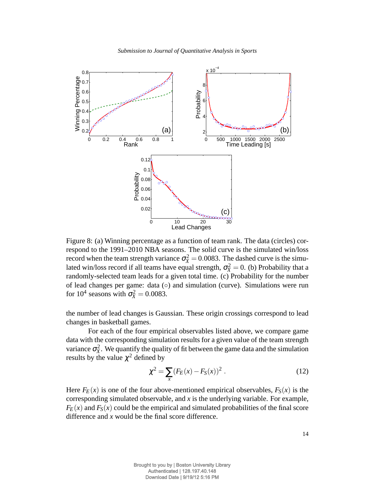*Submission to Journal of Quantitative Analysis in Sports*



Figure 8: (a) Winning percentage as a function of team rank. The data (circles) correspond to the 1991–2010 NBA seasons. The solid curve is the simulated win/loss record when the team strength variance  $\sigma_X^2 = 0.0083$ . The dashed curve is the simulated win/loss record if all teams have equal strength,  $\sigma_X^2 = 0$ . (b) Probability that a randomly-selected team leads for a given total time. (c) Probability for the number of lead changes per game: data (◦) and simulation (curve). Simulations were run for  $10^4$  seasons with  $\sigma_X^2 = 0.0083$ .

the number of lead changes is Gaussian. These origin crossings correspond to lead changes in basketball games.

For each of the four empirical observables listed above, we compare game data with the corresponding simulation results for a given value of the team strength variance  $\sigma_X^2$ . We quantify the quality of fit between the game data and the simulation results by the value  $\chi^2$  defined by

$$
\chi^2 = \sum_{x} (F_E(x) - F_S(x))^2 \,. \tag{12}
$$

Here  $F_E(x)$  is one of the four above-mentioned empirical observables,  $F_S(x)$  is the corresponding simulated observable, and *x* is the underlying variable. For example,  $F_E(x)$  and  $F_S(x)$  could be the empirical and simulated probabilities of the final score difference and *x* would be the final score difference.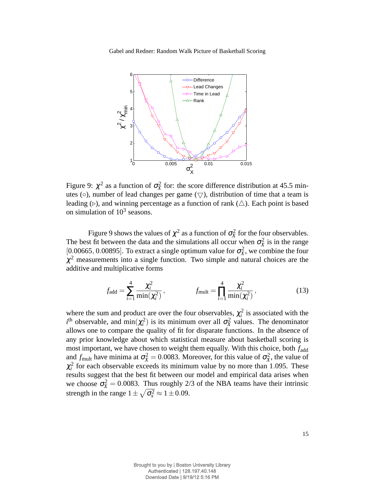

Figure 9:  $\chi^2$  as a function of  $\sigma_X^2$  for: the score difference distribution at 45.5 minutes ( $\circ$ ), number of lead changes per game ( $\bigtriangledown$ ), distribution of time that a team is leading ( $\triangleright$ ), and winning percentage as a function of rank ( $\triangle$ ). Each point is based on simulation of  $10^3$  seasons.

Figure 9 shows the values of  $\chi^2$  as a function of  $\sigma_X^2$  for the four observables. The best fit between the data and the simulations all occur when  $\sigma_X^2$  is in the range [0.00665, 0.00895]. To extract a single optimum value for  $\sigma_X^2$ , we combine the four  $\chi^2$  measurements into a single function. Two simple and natural choices are the additive and multiplicative forms

$$
f_{\text{add}} = \sum_{i=1}^{4} \frac{\chi_i^2}{\min(\chi_i^2)}, \qquad f_{\text{mult}} = \prod_{i=1}^{4} \frac{\chi_i^2}{\min(\chi_i^2)}, \qquad (13)
$$

where the sum and product are over the four observables,  $\chi_i^2$  is associated with the  $i$ <sup>th</sup> observable, and min $(\chi_i^2)$  is its minimum over all  $\sigma_X^2$  values. The denominator allows one to compare the quality of fit for disparate functions. In the absence of any prior knowledge about which statistical measure about basketball scoring is most important, we have chosen to weight them equally. With this choice, both *f*add and  $f_{\text{mult}}$  have minima at  $\sigma_X^2 = 0.0083$ . Moreover, for this value of  $\sigma_X^2$ , the value of  $\chi_i^2$  for each observable exceeds its minimum value by no more than 1.095. These results suggest that the best fit between our model and empirical data arises when we choose  $\sigma_X^2 = 0.0083$ . Thus roughly 2/3 of the NBA teams have their intrinsic strength in the range  $1 \pm \sqrt{\sigma_x^2} \approx 1 \pm 0.09$ .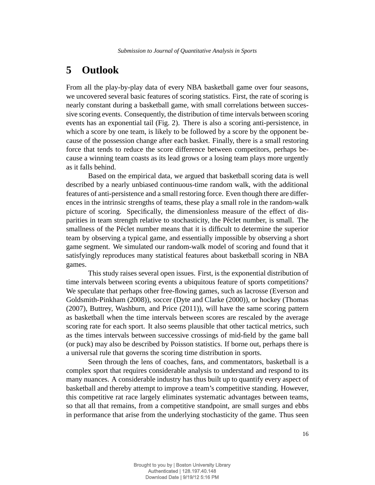#### **5 Outlook**

From all the play-by-play data of every NBA basketball game over four seasons, we uncovered several basic features of scoring statistics. First, the rate of scoring is nearly constant during a basketball game, with small correlations between successive scoring events. Consequently, the distribution of time intervals between scoring events has an exponential tail (Fig. 2). There is also a scoring anti-persistence, in which a score by one team, is likely to be followed by a score by the opponent because of the possession change after each basket. Finally, there is a small restoring force that tends to reduce the score difference between competitors, perhaps because a winning team coasts as its lead grows or a losing team plays more urgently as it falls behind.

Based on the empirical data, we argued that basketball scoring data is well described by a nearly unbiased continuous-time random walk, with the additional features of anti-persistence and a small restoring force. Even though there are differences in the intrinsic strengths of teams, these play a small role in the random-walk picture of scoring. Specifically, the dimensionless measure of the effect of disparities in team strength relative to stochasticity, the Péclet number, is small. The smallness of the Péclet number means that it is difficult to determine the superior team by observing a typical game, and essentially impossible by observing a short game segment. We simulated our random-walk model of scoring and found that it satisfyingly reproduces many statistical features about basketball scoring in NBA games.

This study raises several open issues. First, is the exponential distribution of time intervals between scoring events a ubiquitous feature of sports competitions? We speculate that perhaps other free-flowing games, such as lacrosse (Everson and Goldsmith-Pinkham (2008)), soccer (Dyte and Clarke (2000)), or hockey (Thomas (2007), Buttrey, Washburn, and Price (2011)), will have the same scoring pattern as basketball when the time intervals between scores are rescaled by the average scoring rate for each sport. It also seems plausible that other tactical metrics, such as the times intervals between successive crossings of mid-field by the game ball (or puck) may also be described by Poisson statistics. If borne out, perhaps there is a universal rule that governs the scoring time distribution in sports.

Seen through the lens of coaches, fans, and commentators, basketball is a complex sport that requires considerable analysis to understand and respond to its many nuances. A considerable industry has thus built up to quantify every aspect of basketball and thereby attempt to improve a team's competitive standing. However, this competitive rat race largely eliminates systematic advantages between teams, so that all that remains, from a competitive standpoint, are small surges and ebbs in performance that arise from the underlying stochasticity of the game. Thus seen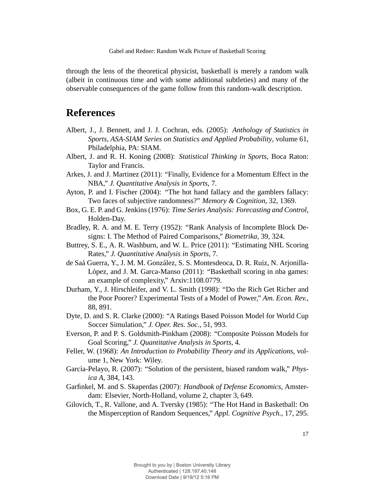through the lens of the theoretical physicist, basketball is merely a random walk (albeit in continuous time and with some additional subtleties) and many of the observable consequences of the game follow from this random-walk description.

#### **References**

- Albert, J., J. Bennett, and J. J. Cochran, eds. (2005): *Anthology of Statistics in Sports*, *ASA-SIAM Series on Statistics and Applied Probability*, volume 61, Philadelphia, PA: SIAM.
- Albert, J. and R. H. Koning (2008): *Statistical Thinking in Sports*, Boca Raton: Taylor and Francis.
- Arkes, J. and J. Martinez (2011): "Finally, Evidence for a Momentum Effect in the NBA," *J. Quantitative Analysis in Sports*, 7.
- Ayton, P. and I. Fischer (2004): "The hot hand fallacy and the gamblers fallacy: Two faces of subjective randomness?" *Memory & Cognition*, 32, 1369.
- Box, G. E. P. and G. Jenkins (1976): *Time Series Analysis: Forecasting and Control*, Holden-Day.
- Bradley, R. A. and M. E. Terry (1952): "Rank Analysis of Incomplete Block Designs: I. The Method of Paired Comparisons," *Biometrika*, 39, 324.
- Buttrey, S. E., A. R. Washburn, and W. L. Price (2011): "Estimating NHL Scoring Rates," *J. Quantitative Analysis in Sports*, 7.
- de Saá Guerra, Y., J. M. M. González, S. S. Montesdeoca, D. R. Ruiz, N. Arjonilla-López, and J. M. Garca-Manso (2011): "Basketball scoring in nba games: an example of complexity," Arxiv:1108.0779.
- Durham, Y., J. Hirschleifer, and V. L. Smith (1998): "Do the Rich Get Richer and the Poor Poorer? Experimental Tests of a Model of Power," *Am. Econ. Rev.*, 88, 891.
- Dyte, D. and S. R. Clarke (2000): "A Ratings Based Poisson Model for World Cup Soccer Simulation," *J. Oper. Res. Soc.*, 51, 993.
- Everson, P. and P. S. Goldsmith-Pinkham (2008): "Composite Poisson Models for Goal Scoring," *J. Quantitative Analysis in Sports*, 4.
- Feller, W. (1968): *An Introduction to Probability Theory and its Applications*, volume 1, New York: Wiley.
- García-Pelayo, R. (2007): "Solution of the persistent, biased random walk," *Physica A*, 384, 143.
- Garfinkel, M. and S. Skaperdas (2007): *Handbook of Defense Economics*, Amsterdam: Elsevier, North-Holland, volume 2, chapter 3, 649.
- Gilovich, T., R. Vallone, and A. Tversky (1985): "The Hot Hand in Basketball: On the Misperception of Random Sequences," *Appl. Cognitive Psych.*, 17, 295.